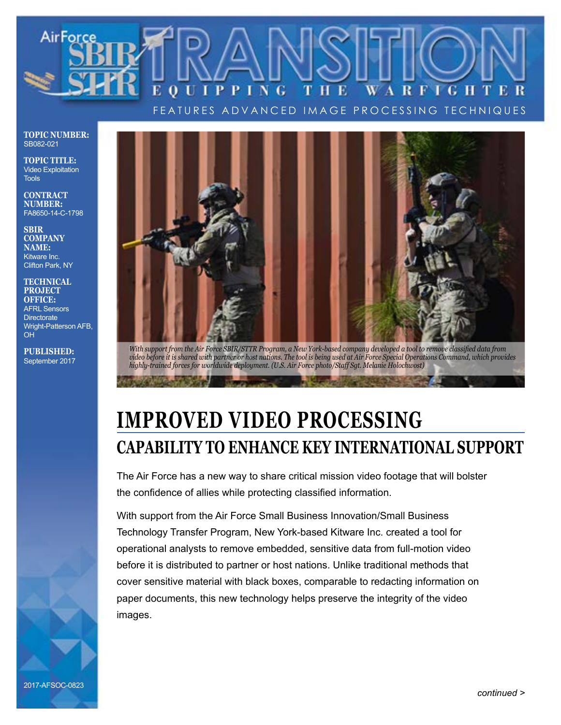

FEATURES ADVANCED IMAGE PROCESSING TECHNIQUES

**TOPIC NUMBER:** SB082-021

**TOPIC TITLE:** Video Exploitation **Tools** 

**CONTRACT NUMBER:** FA8650-14-C-1798

**SBIR COMPANY NAME:** Kitware Inc. Clifton Park, NY

**TECHNICAL PROJECT OFFICE:** AFRL Sensors **Directorate** Wright-Patterson AFB, OH

**PUBLISHED:** September 2017



*With support from the Air Force SBIR/STTR Program, a New York-based company developed a tool to remove classified data from video before it is shared with partner or host nations. The tool is being used at Air Force Special Operations Command, which provides highly-trained forces for worldwide deployment. (U.S. Air Force photo/Staff Sgt. Melanie Holochwost)*

## **IMPROVED VIDEO PROCESSING CAPABILITY TO ENHANCE KEY INTERNATIONAL SUPPORT**

The Air Force has a new way to share critical mission video footage that will bolster the confidence of allies while protecting classified information.

With support from the Air Force Small Business Innovation/Small Business Technology Transfer Program, New York-based Kitware Inc. created a tool for operational analysts to remove embedded, sensitive data from full-motion video before it is distributed to partner or host nations. Unlike traditional methods that cover sensitive material with black boxes, comparable to redacting information on paper documents, this new technology helps preserve the integrity of the video images.

2017-AFSOC-0823